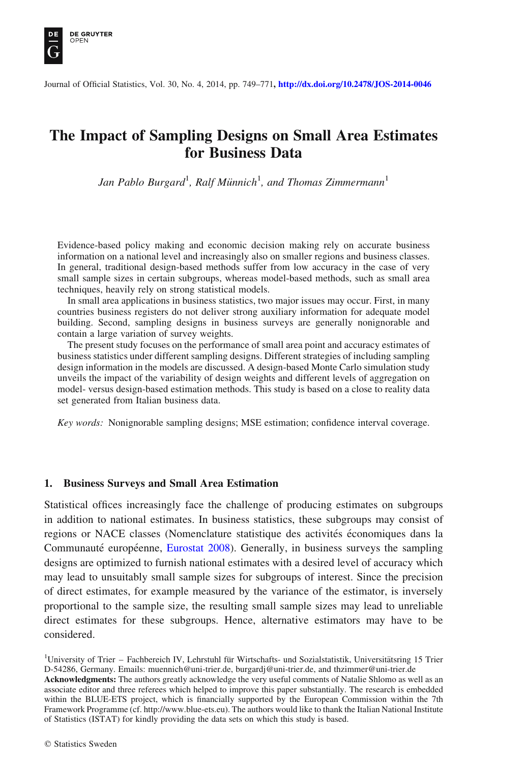

Journal of Official Statistics, Vol. 30, No. 4, 2014, pp. 749–771, <http://dx.doi.org/10.2478/JOS-2014-0046>

# The Impact of Sampling Designs on Small Area Estimates for Business Data

Jan Pablo Burgard<sup>1</sup>, Ralf Münnich<sup>1</sup>, and Thomas Zimmermann<sup>1</sup>

Evidence-based policy making and economic decision making rely on accurate business information on a national level and increasingly also on smaller regions and business classes. In general, traditional design-based methods suffer from low accuracy in the case of very small sample sizes in certain subgroups, whereas model-based methods, such as small area techniques, heavily rely on strong statistical models.

In small area applications in business statistics, two major issues may occur. First, in many countries business registers do not deliver strong auxiliary information for adequate model building. Second, sampling designs in business surveys are generally nonignorable and contain a large variation of survey weights.

The present study focuses on the performance of small area point and accuracy estimates of business statistics under different sampling designs. Different strategies of including sampling design information in the models are discussed. A design-based Monte Carlo simulation study unveils the impact of the variability of design weights and different levels of aggregation on model- versus design-based estimation methods. This study is based on a close to reality data set generated from Italian business data.

Key words: Nonignorable sampling designs; MSE estimation; confidence interval coverage.

# 1. Business Surveys and Small Area Estimation

Statistical offices increasingly face the challenge of producing estimates on subgroups in addition to national estimates. In business statistics, these subgroups may consist of regions or NACE classes (Nomenclature statistique des activités économiques dans la Communauté européenne, Eurostat 2008). Generally, in business surveys the sampling designs are optimized to furnish national estimates with a desired level of accuracy which may lead to unsuitably small sample sizes for subgroups of interest. Since the precision of direct estimates, for example measured by the variance of the estimator, is inversely proportional to the sample size, the resulting small sample sizes may lead to unreliable direct estimates for these subgroups. Hence, alternative estimators may have to be considered.

<sup>1</sup>University of Trier – Fachbereich IV, Lehrstuhl für Wirtschafts- und Sozialstatistik, Universitätsring 15 Trier D-54286, Germany. Emails: muennich@uni-trier.de, burgardj@uni-trier.de, and thzimmer@uni-trier.de

Acknowledgments: The authors greatly acknowledge the very useful comments of Natalie Shlomo as well as an associate editor and three referees which helped to improve this paper substantially. The research is embedded within the BLUE-ETS project, which is financially supported by the European Commission within the 7th Framework Programme (cf. http://www.blue-ets.eu). The authors would like to thank the Italian National Institute of Statistics (ISTAT) for kindly providing the data sets on which this study is based.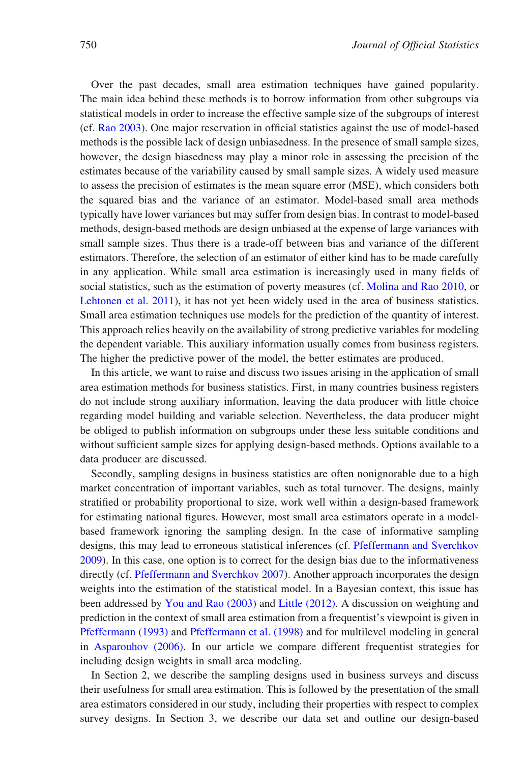Over the past decades, small area estimation techniques have gained popularity. The main idea behind these methods is to borrow information from other subgroups via statistical models in order to increase the effective sample size of the subgroups of interest (cf. Rao 2003). One major reservation in official statistics against the use of model-based methods is the possible lack of design unbiasedness. In the presence of small sample sizes, however, the design biasedness may play a minor role in assessing the precision of the estimates because of the variability caused by small sample sizes. A widely used measure to assess the precision of estimates is the mean square error (MSE), which considers both the squared bias and the variance of an estimator. Model-based small area methods typically have lower variances but may suffer from design bias. In contrast to model-based methods, design-based methods are design unbiased at the expense of large variances with small sample sizes. Thus there is a trade-off between bias and variance of the different estimators. Therefore, the selection of an estimator of either kind has to be made carefully in any application. While small area estimation is increasingly used in many fields of social statistics, such as the estimation of poverty measures (cf. Molina and Rao 2010, or Lehtonen et al. 2011), it has not yet been widely used in the area of business statistics. Small area estimation techniques use models for the prediction of the quantity of interest. This approach relies heavily on the availability of strong predictive variables for modeling the dependent variable. This auxiliary information usually comes from business registers. The higher the predictive power of the model, the better estimates are produced.

In this article, we want to raise and discuss two issues arising in the application of small area estimation methods for business statistics. First, in many countries business registers do not include strong auxiliary information, leaving the data producer with little choice regarding model building and variable selection. Nevertheless, the data producer might be obliged to publish information on subgroups under these less suitable conditions and without sufficient sample sizes for applying design-based methods. Options available to a data producer are discussed.

Secondly, sampling designs in business statistics are often nonignorable due to a high market concentration of important variables, such as total turnover. The designs, mainly stratified or probability proportional to size, work well within a design-based framework for estimating national figures. However, most small area estimators operate in a modelbased framework ignoring the sampling design. In the case of informative sampling designs, this may lead to erroneous statistical inferences (cf. Pfeffermann and Sverchkov 2009). In this case, one option is to correct for the design bias due to the informativeness directly (cf. Pfeffermann and Sverchkov 2007). Another approach incorporates the design weights into the estimation of the statistical model. In a Bayesian context, this issue has been addressed by You and Rao (2003) and Little (2012). A discussion on weighting and prediction in the context of small area estimation from a frequentist's viewpoint is given in Pfeffermann (1993) and Pfeffermann et al. (1998) and for multilevel modeling in general in Asparouhov (2006). In our article we compare different frequentist strategies for including design weights in small area modeling.

In Section 2, we describe the sampling designs used in business surveys and discuss their usefulness for small area estimation. This is followed by the presentation of the small area estimators considered in our study, including their properties with respect to complex survey designs. In Section 3, we describe our data set and outline our design-based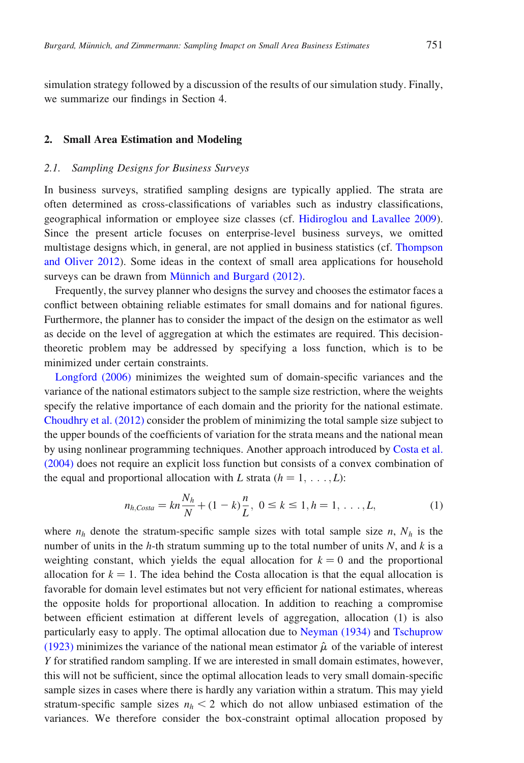simulation strategy followed by a discussion of the results of our simulation study. Finally, we summarize our findings in Section 4.

#### 2. Small Area Estimation and Modeling

#### 2.1. Sampling Designs for Business Surveys

In business surveys, stratified sampling designs are typically applied. The strata are often determined as cross-classifications of variables such as industry classifications, geographical information or employee size classes (cf. Hidiroglou and Lavallee 2009). Since the present article focuses on enterprise-level business surveys, we omitted multistage designs which, in general, are not applied in business statistics (cf. Thompson and Oliver 2012). Some ideas in the context of small area applications for household surveys can be drawn from Münnich and Burgard (2012).

Frequently, the survey planner who designs the survey and chooses the estimator faces a conflict between obtaining reliable estimates for small domains and for national figures. Furthermore, the planner has to consider the impact of the design on the estimator as well as decide on the level of aggregation at which the estimates are required. This decisiontheoretic problem may be addressed by specifying a loss function, which is to be minimized under certain constraints.

Longford (2006) minimizes the weighted sum of domain-specific variances and the variance of the national estimators subject to the sample size restriction, where the weights specify the relative importance of each domain and the priority for the national estimate. Choudhry et al. (2012) consider the problem of minimizing the total sample size subject to the upper bounds of the coefficients of variation for the strata means and the national mean by using nonlinear programming techniques. Another approach introduced by Costa et al. (2004) does not require an explicit loss function but consists of a convex combination of the equal and proportional allocation with L strata  $(h = 1, \ldots, L)$ :

$$
n_{h,Costa} = kn\frac{N_h}{N} + (1 - k)\frac{n}{L}, \ 0 \le k \le 1, h = 1, \dots, L,
$$
 (1)

where  $n_h$  denote the stratum-specific sample sizes with total sample size n,  $N_h$  is the number of units in the h-th stratum summing up to the total number of units  $N$ , and  $k$  is a weighting constant, which yields the equal allocation for  $k = 0$  and the proportional allocation for  $k = 1$ . The idea behind the Costa allocation is that the equal allocation is favorable for domain level estimates but not very efficient for national estimates, whereas the opposite holds for proportional allocation. In addition to reaching a compromise between efficient estimation at different levels of aggregation, allocation (1) is also particularly easy to apply. The optimal allocation due to Neyman (1934) and Tschuprow (1923) minimizes the variance of the national mean estimator  $\hat{\mu}$  of the variable of interest Y for stratified random sampling. If we are interested in small domain estimates, however, this will not be sufficient, since the optimal allocation leads to very small domain-specific sample sizes in cases where there is hardly any variation within a stratum. This may yield stratum-specific sample sizes  $n_h < 2$  which do not allow unbiased estimation of the variances. We therefore consider the box-constraint optimal allocation proposed by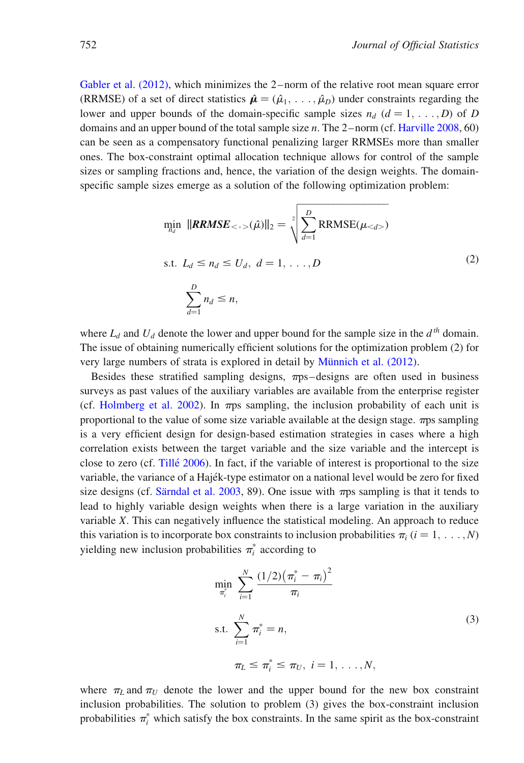Gabler et al. (2012), which minimizes the 2–norm of the relative root mean square error (RRMSE) of a set of direct statistics  $\hat{\boldsymbol{\mu}} = (\hat{\mu}_1, \ldots, \hat{\mu}_D)$  under constraints regarding the lower and upper bounds of the domain-specific sample sizes  $n_d$   $(d = 1, \ldots, D)$  of D domains and an upper bound of the total sample size  $n$ . The  $2$ –norm (cf. Harville 2008, 60) can be seen as a compensatory functional penalizing larger RRMSEs more than smaller ones. The box-constraint optimal allocation technique allows for control of the sample sizes or sampling fractions and, hence, the variation of the design weights. The domainspecific sample sizes emerge as a solution of the following optimization problem:

$$
\min_{n_d} \|\mathbf{RRMSE}_{\langle \cdot \rangle}(\hat{\mu})\|_2 = \sqrt[2]{\sum_{d=1}^{D} \text{RRMSE}(\mu_{\langle d \rangle})}
$$
\n
$$
\text{s.t. } L_d \le n_d \le U_d, \ d = 1, \dots, D
$$
\n
$$
\sum_{d=1}^{D} n_d \le n,
$$
\n(2)

where  $L_d$  and  $U_d$  denote the lower and upper bound for the sample size in the  $d^{th}$  domain. The issue of obtaining numerically efficient solutions for the optimization problem (2) for very large numbers of strata is explored in detail by Münnich et al. (2012).

Besides these stratified sampling designs,  $\pi$ ps–designs are often used in business surveys as past values of the auxiliary variables are available from the enterprise register (cf. Holmberg et al. 2002). In  $\pi$ ps sampling, the inclusion probability of each unit is proportional to the value of some size variable available at the design stage.  $\pi$ ps sampling is a very efficient design for design-based estimation strategies in cases where a high correlation exists between the target variable and the size variable and the intercept is close to zero (cf. Tillé 2006). In fact, if the variable of interest is proportional to the size variable, the variance of a Hajék-type estimator on a national level would be zero for fixed size designs (cf. Särndal et al. 2003, 89). One issue with  $\pi$ ps sampling is that it tends to lead to highly variable design weights when there is a large variation in the auxiliary variable X. This can negatively influence the statistical modeling. An approach to reduce this variation is to incorporate box constraints to inclusion probabilities  $\pi_i$  ( $i = 1, \ldots, N$ ) yielding new inclusion probabilities  $\pi_i^*$  according to

$$
\min_{\pi_i^*} \sum_{i=1}^N \frac{(1/2)(\pi_i^* - \pi_i)^2}{\pi_i}
$$
\n
$$
\text{s.t. } \sum_{i=1}^N \pi_i^* = n,
$$
\n
$$
\pi_L \le \pi_i^* \le \pi_U, \ i = 1, \dots, N,
$$
\n(3)

where  $\pi_L$  and  $\pi_U$  denote the lower and the upper bound for the new box constraint inclusion probabilities. The solution to problem (3) gives the box-constraint inclusion probabilities  $\pi_i^*$  which satisfy the box constraints. In the same spirit as the box-constraint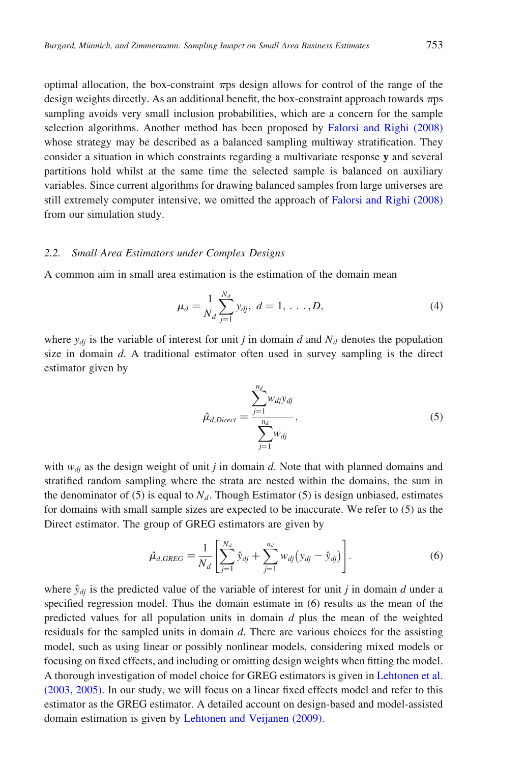optimal allocation, the box-constraint  $\pi$ ps design allows for control of the range of the design weights directly. As an additional benefit, the box-constraint approach towards  $\pi$ ps sampling avoids very small inclusion probabilities, which are a concern for the sample selection algorithms. Another method has been proposed by Falorsi and Righi (2008) whose strategy may be described as a balanced sampling multiway stratification. They consider a situation in which constraints regarding a multivariate response y and several partitions hold whilst at the same time the selected sample is balanced on auxiliary variables. Since current algorithms for drawing balanced samples from large universes are still extremely computer intensive, we omitted the approach of Falorsi and Righi (2008) from our simulation study.

#### 2.2. Small Area Estimators under Complex Designs

A common aim in small area estimation is the estimation of the domain mean

$$
\mu_d = \frac{1}{N_d} \sum_{j=1}^{N_d} y_{dj}, \ d = 1, \dots, D,
$$
\n(4)

where  $y_{di}$  is the variable of interest for unit j in domain d and  $N_d$  denotes the population size in domain d. A traditional estimator often used in survey sampling is the direct estimator given by

$$
\hat{\mu}_{d,Direct} = \frac{\sum_{j=1}^{n_d} w_{dj}y_{dj}}{\sum_{j=1}^{n_d} w_{dj}},
$$
\n(5)

with  $w_{di}$  as the design weight of unit j in domain d. Note that with planned domains and stratified random sampling where the strata are nested within the domains, the sum in the denominator of (5) is equal to  $N_d$ . Though Estimator (5) is design unbiased, estimates for domains with small sample sizes are expected to be inaccurate. We refer to (5) as the Direct estimator. The group of GREG estimators are given by

$$
\hat{\mu}_{d,GREG} = \frac{1}{N_d} \left[ \sum_{j=1}^{N_d} \hat{y}_{dj} + \sum_{j=1}^{n_d} w_{dj} (y_{dj} - \hat{y}_{dj}) \right].
$$
 (6)

where  $\hat{y}_{di}$  is the predicted value of the variable of interest for unit j in domain d under a specified regression model. Thus the domain estimate in (6) results as the mean of the predicted values for all population units in domain  $d$  plus the mean of the weighted residuals for the sampled units in domain d. There are various choices for the assisting model, such as using linear or possibly nonlinear models, considering mixed models or focusing on fixed effects, and including or omitting design weights when fitting the model. A thorough investigation of model choice for GREG estimators is given in Lehtonen et al. (2003, 2005). In our study, we will focus on a linear fixed effects model and refer to this estimator as the GREG estimator. A detailed account on design-based and model-assisted domain estimation is given by Lehtonen and Veijanen (2009).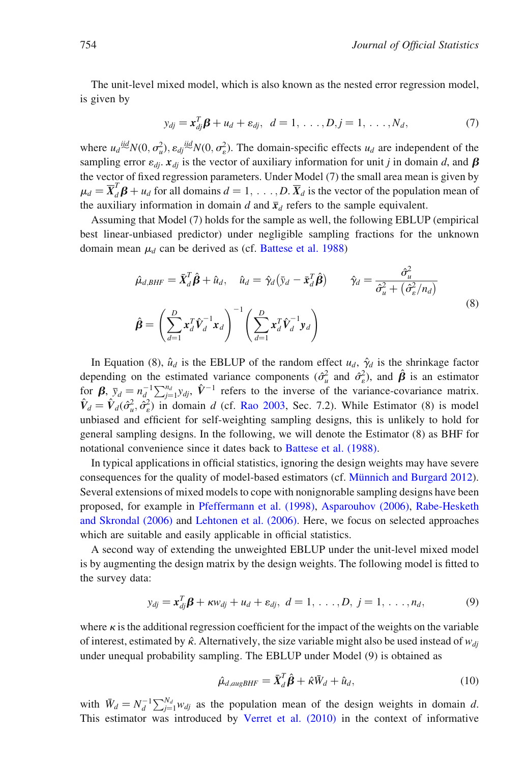The unit-level mixed model, which is also known as the nested error regression model, is given by

$$
y_{dj} = \mathbf{x}_{dj}^T \boldsymbol{\beta} + u_d + \varepsilon_{dj}, \ \ d = 1, \dots, D, j = 1, \dots, N_d,
$$
 (7)

where  $u_d \stackrel{iid}{\sim} N(0, \sigma_u^2)$ ,  $\varepsilon_{dj} \stackrel{iid}{\sim} N(0, \sigma_e^2)$ . The domain-specific effects  $u_d$  are independent of the sampling error  $\varepsilon_{di}$ .  $x_{di}$  is the vector of auxiliary information for unit j in domain d, and  $\beta$ the vector of fixed regression parameters. Under Model (7) the small area mean is given by  $\mu_d = \overline{X}_d^T \boldsymbol{\beta} + u_d$  for all domains  $d = 1, \ldots, D$ .  $\overline{X}_d$  is the vector of the population mean of the auxiliary information in domain d and  $\bar{x}_d$  refers to the sample equivalent.

Assuming that Model (7) holds for the sample as well, the following EBLUP (empirical best linear-unbiased predictor) under negligible sampling fractions for the unknown domain mean  $\mu_d$  can be derived as (cf. Battese et al. 1988)

$$
\hat{\mu}_{d,BHF} = \bar{X}_d^T \hat{\boldsymbol{\beta}} + \hat{u}_d, \quad \hat{u}_d = \hat{\gamma}_d (\bar{y}_d - \bar{x}_d^T \hat{\boldsymbol{\beta}}) \qquad \hat{\gamma}_d = \frac{\hat{\sigma}_u^2}{\hat{\sigma}_u^2 + (\hat{\sigma}_e^2/n_d)}
$$
\n
$$
\hat{\boldsymbol{\beta}} = \left(\sum_{d=1}^D x_d^T \hat{\boldsymbol{V}}_d^{-1} \mathbf{x}_d\right)^{-1} \left(\sum_{d=1}^D x_d^T \hat{\boldsymbol{V}}_d^{-1} \mathbf{y}_d\right)
$$
\n(8)

In Equation (8),  $\hat{u}_d$  is the EBLUP of the random effect  $u_d$ ,  $\hat{\gamma}_d$  is the shrinkage factor depending on the estimated variance components  $(\hat{\sigma}_u^2$  and  $\hat{\sigma}_v^2$ ), and  $\hat{\beta}$  is an estimator for  $\beta$ ,  $\bar{y}_d = n_d^{-1} \sum_{j=1}^{n_d} y_{dj}$ ,  $\hat{V}^{-1}$  refers to the inverse of the variance-covariance matrix.  $\hat{V}_d = \hat{V}_d(\hat{\sigma}_u^2, \hat{\sigma}_e^2)$  in domain d (cf. Rao 2003, Sec. 7.2). While Estimator (8) is model unbiased and efficient for self-weighting sampling designs, this is unlikely to hold for general sampling designs. In the following, we will denote the Estimator (8) as BHF for notational convenience since it dates back to Battese et al. (1988).

In typical applications in official statistics, ignoring the design weights may have severe consequences for the quality of model-based estimators (cf. Münnich and Burgard 2012). Several extensions of mixed models to cope with nonignorable sampling designs have been proposed, for example in Pfeffermann et al. (1998), Asparouhov (2006), Rabe-Hesketh and Skrondal (2006) and Lehtonen et al. (2006). Here, we focus on selected approaches which are suitable and easily applicable in official statistics.

A second way of extending the unweighted EBLUP under the unit-level mixed model is by augmenting the design matrix by the design weights. The following model is fitted to the survey data:

$$
y_{dj} = \mathbf{x}_{dj}^T \boldsymbol{\beta} + \kappa w_{dj} + u_d + \varepsilon_{dj}, \ d = 1, \ldots, D, \ j = 1, \ldots, n_d,
$$
 (9)

where  $\kappa$  is the additional regression coefficient for the impact of the weights on the variable of interest, estimated by  $\hat{\kappa}$ . Alternatively, the size variable might also be used instead of  $w_{di}$ under unequal probability sampling. The EBLUP under Model (9) is obtained as

$$
\hat{\mu}_{d,augBHF} = \bar{X}_d^T \hat{\boldsymbol{\beta}} + \hat{\kappa} \bar{W}_d + \hat{u}_d, \qquad (10)
$$

with  $\bar{W}_d = N_d^{-1} \sum_{j=1}^{N_d} w_{dj}$  as the population mean of the design weights in domain d. This estimator was introduced by Verret et al. (2010) in the context of informative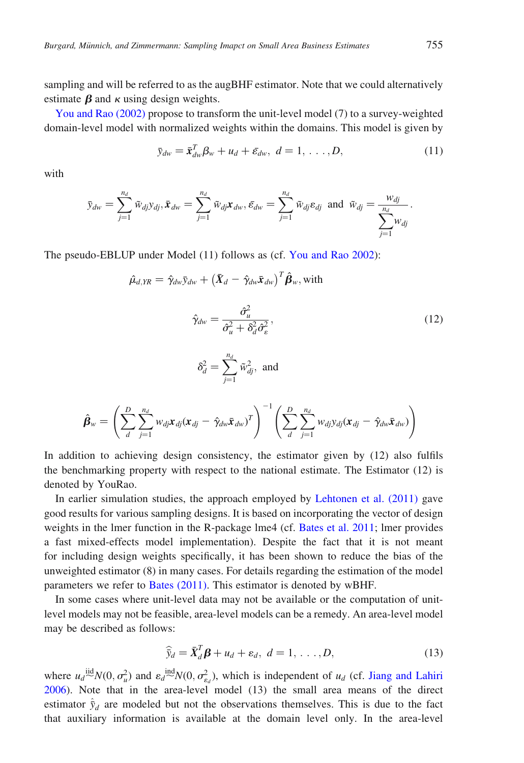sampling and will be referred to as the augBHF estimator. Note that we could alternatively estimate  $\beta$  and  $\kappa$  using design weights.

You and Rao (2002) propose to transform the unit-level model (7) to a survey-weighted domain-level model with normalized weights within the domains. This model is given by

$$
\bar{y}_{dw} = \bar{\boldsymbol{x}}_{dw}^T \boldsymbol{\beta}_w + u_d + \bar{\varepsilon}_{dw}, \ d = 1, \ldots, D,
$$
\n(11)

with

$$
\bar{y}_{dw} = \sum_{j=1}^{n_d} \tilde{w}_{dj} y_{dj}, \bar{x}_{dw} = \sum_{j=1}^{n_d} \tilde{w}_{dj} x_{dw}, \bar{\varepsilon}_{dw} = \sum_{j=1}^{n_d} \tilde{w}_{dj} \varepsilon_{dj} \text{ and } \tilde{w}_{dj} = \frac{w_{dj}}{\sum_{j=1}^{n_d} w_{dj}}.
$$

The pseudo-EBLUP under Model (11) follows as (cf. You and Rao 2002):

$$
\hat{\mu}_{d,YR} = \hat{\gamma}_{dw}\bar{y}_{dw} + (\bar{X}_d - \hat{\gamma}_{dw}\bar{x}_{dw})^T \hat{\boldsymbol{\beta}}_w, \text{ with}
$$
\n
$$
\hat{\gamma}_{dw} = \frac{\hat{\sigma}_u^2}{\hat{\sigma}_u^2 + \hat{\sigma}_d^2 \hat{\sigma}_e^2},
$$
\n
$$
\delta_d^2 = \sum_{j=1}^{n_d} \tilde{w}_{dj}^2, \text{ and}
$$
\n
$$
\hat{\boldsymbol{\beta}}_w = \left(\sum_{d}^{D} \sum_{j=1}^{n_d} w_{dj} x_{dj} (x_{dj} - \hat{\gamma}_{dw} \bar{x}_{dw})^T\right)^{-1} \left(\sum_{d}^{D} \sum_{j=1}^{n_d} w_{dj} y_{dj} (x_{dj} - \hat{\gamma}_{dw} \bar{x}_{dw})\right)
$$
\n(12)

In addition to achieving design consistency, the estimator given by (12) also fulfils the benchmarking property with respect to the national estimate. The Estimator (12) is denoted by YouRao.

In earlier simulation studies, the approach employed by Lehtonen et al. (2011) gave good results for various sampling designs. It is based on incorporating the vector of design weights in the lmer function in the R-package lme4 (cf. Bates et al. 2011; lmer provides a fast mixed-effects model implementation). Despite the fact that it is not meant for including design weights specifically, it has been shown to reduce the bias of the unweighted estimator (8) in many cases. For details regarding the estimation of the model parameters we refer to Bates (2011). This estimator is denoted by wBHF.

In some cases where unit-level data may not be available or the computation of unitlevel models may not be feasible, area-level models can be a remedy. An area-level model may be described as follows:

$$
\widehat{\bar{y}}_d = \bar{X}_d^T \boldsymbol{\beta} + u_d + \varepsilon_d, \ d = 1, \dots, D,
$$
\n(13)

where  $u_d \stackrel{\text{iid}}{\sim} N(0, \sigma_u^2)$  and  $\varepsilon_d \stackrel{\text{ind}}{\sim} N(0, \sigma_{\varepsilon_d}^2)$ , which is independent of  $u_d$  (cf. Jiang and Lahiri 2006). Note that in the area-level model (13) the small area means of the direct estimator  $\hat{\bar{y}}_d$  are modeled but not the observations themselves. This is due to the fact that auxiliary information is available at the domain level only. In the area-level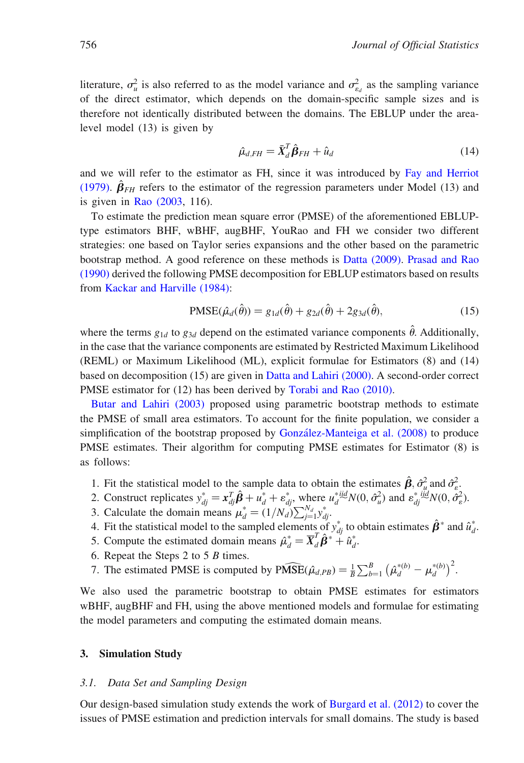literature,  $\sigma_u^2$  is also referred to as the model variance and  $\sigma_{\varepsilon_d}^2$  as the sampling variance of the direct estimator, which depends on the domain-specific sample sizes and is therefore not identically distributed between the domains. The EBLUP under the arealevel model (13) is given by

$$
\hat{\mu}_{d,FH} = \bar{X}_d^T \hat{\beta}_{FH} + \hat{u}_d \tag{14}
$$

and we will refer to the estimator as FH, since it was introduced by Fay and Herriot (1979).  $\hat{\beta}_{FH}$  refers to the estimator of the regression parameters under Model (13) and is given in Rao (2003, 116).

To estimate the prediction mean square error (PMSE) of the aforementioned EBLUPtype estimators BHF, wBHF, augBHF, YouRao and FH we consider two different strategies: one based on Taylor series expansions and the other based on the parametric bootstrap method. A good reference on these methods is Datta (2009). Prasad and Rao (1990) derived the following PMSE decomposition for EBLUP estimators based on results from Kackar and Harville (1984):

$$
PMSE(\hat{\mu}_d(\hat{\theta})) = g_{1d}(\hat{\theta}) + g_{2d}(\hat{\theta}) + 2g_{3d}(\hat{\theta}), \qquad (15)
$$

where the terms  $g_{1d}$  to  $g_{3d}$  depend on the estimated variance components  $\hat{\theta}$ . Additionally, in the case that the variance components are estimated by Restricted Maximum Likelihood (REML) or Maximum Likelihood (ML), explicit formulae for Estimators (8) and (14) based on decomposition (15) are given in Datta and Lahiri (2000). A second-order correct PMSE estimator for (12) has been derived by Torabi and Rao (2010).

Butar and Lahiri (2003) proposed using parametric bootstrap methods to estimate the PMSE of small area estimators. To account for the finite population, we consider a simplification of the bootstrap proposed by González-Manteiga et al. (2008) to produce PMSE estimates. Their algorithm for computing PMSE estimates for Estimator (8) is as follows:

- 1. Fit the statistical model to the sample data to obtain the estimates  $\hat{\beta}$ ,  $\hat{\sigma}_{\mu}^2$  and  $\hat{\sigma}_{\varepsilon}^2$ .
- 2. Construct replicates  $y_{dj}^* = x_{dj}^T \hat{\boldsymbol{\beta}} + u_d^* + \varepsilon_{dj}^*$ , where  $u_d^{*} \ddot{u}_d^2 N(0, \hat{\sigma}_u^2)$  and  $\varepsilon_{dj}^{*} \ddot{u}_d^2 N(0, \hat{\sigma}_v^2)$ .
- 3. Calculate the domain means  $\mu_d^* = (1/N_d) \sum_{j=1}^{N_d} y_{dj}^*$ .
- 4. Fit the statistical model to the sampled elements of  $y_{dj}^*$  to obtain estimates  $\hat{\beta}^*$  and  $\hat{u}_d^*$ .
- 5. Compute the estimated domain means  $\hat{\mu}_d^* = \overline{X}_d^T \hat{\beta}^* + \hat{\mu}_d^*$ .
- 6. Repeat the Steps 2 to 5  $B$  times.
- 7. The estimated PMSE is computed by  $\widehat{PMSE}(\hat{\mu}_{d,PB}) = \frac{1}{B} \sum_{b=1}^{B} (\hat{\mu}_{d}^{*(b)} \mu_{d}^{*(b)})$  $\left(\hat{\mu}_{d}^{*(b)} - \mu_{d}^{*(b)}\right)^2$ .

We also used the parametric bootstrap to obtain PMSE estimates for estimators wBHF, augBHF and FH, using the above mentioned models and formulae for estimating the model parameters and computing the estimated domain means.

## 3. Simulation Study

#### 3.1. Data Set and Sampling Design

Our design-based simulation study extends the work of Burgard et al. (2012) to cover the issues of PMSE estimation and prediction intervals for small domains. The study is based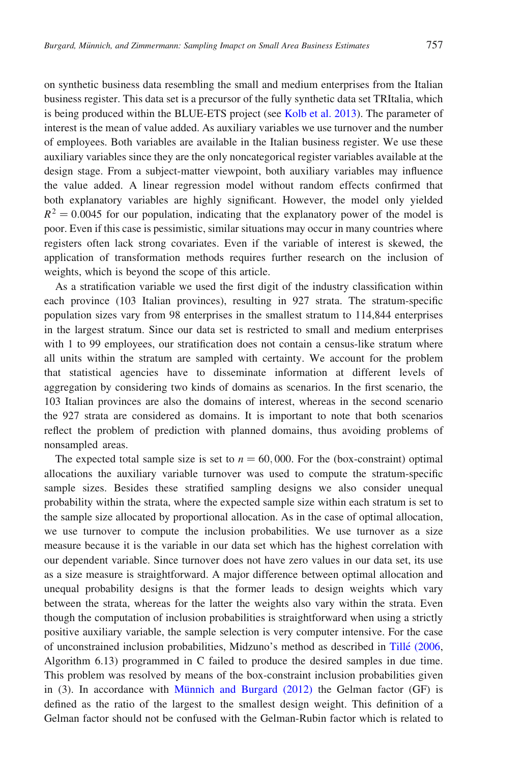on synthetic business data resembling the small and medium enterprises from the Italian business register. This data set is a precursor of the fully synthetic data set TRItalia, which is being produced within the BLUE-ETS project (see Kolb et al. 2013). The parameter of interest is the mean of value added. As auxiliary variables we use turnover and the number of employees. Both variables are available in the Italian business register. We use these auxiliary variables since they are the only noncategorical register variables available at the design stage. From a subject-matter viewpoint, both auxiliary variables may influence the value added. A linear regression model without random effects confirmed that both explanatory variables are highly significant. However, the model only yielded  $R^2 = 0.0045$  for our population, indicating that the explanatory power of the model is poor. Even if this case is pessimistic, similar situations may occur in many countries where registers often lack strong covariates. Even if the variable of interest is skewed, the application of transformation methods requires further research on the inclusion of weights, which is beyond the scope of this article.

As a stratification variable we used the first digit of the industry classification within each province (103 Italian provinces), resulting in 927 strata. The stratum-specific population sizes vary from 98 enterprises in the smallest stratum to 114,844 enterprises in the largest stratum. Since our data set is restricted to small and medium enterprises with 1 to 99 employees, our stratification does not contain a census-like stratum where all units within the stratum are sampled with certainty. We account for the problem that statistical agencies have to disseminate information at different levels of aggregation by considering two kinds of domains as scenarios. In the first scenario, the 103 Italian provinces are also the domains of interest, whereas in the second scenario the 927 strata are considered as domains. It is important to note that both scenarios reflect the problem of prediction with planned domains, thus avoiding problems of nonsampled areas.

The expected total sample size is set to  $n = 60,000$ . For the (box-constraint) optimal allocations the auxiliary variable turnover was used to compute the stratum-specific sample sizes. Besides these stratified sampling designs we also consider unequal probability within the strata, where the expected sample size within each stratum is set to the sample size allocated by proportional allocation. As in the case of optimal allocation, we use turnover to compute the inclusion probabilities. We use turnover as a size measure because it is the variable in our data set which has the highest correlation with our dependent variable. Since turnover does not have zero values in our data set, its use as a size measure is straightforward. A major difference between optimal allocation and unequal probability designs is that the former leads to design weights which vary between the strata, whereas for the latter the weights also vary within the strata. Even though the computation of inclusion probabilities is straightforward when using a strictly positive auxiliary variable, the sample selection is very computer intensive. For the case of unconstrained inclusion probabilities, Midzuno's method as described in Tille´ (2006, Algorithm 6.13) programmed in C failed to produce the desired samples in due time. This problem was resolved by means of the box-constraint inclusion probabilities given in  $(3)$ . In accordance with Münnich and Burgard  $(2012)$  the Gelman factor  $(GF)$  is defined as the ratio of the largest to the smallest design weight. This definition of a Gelman factor should not be confused with the Gelman-Rubin factor which is related to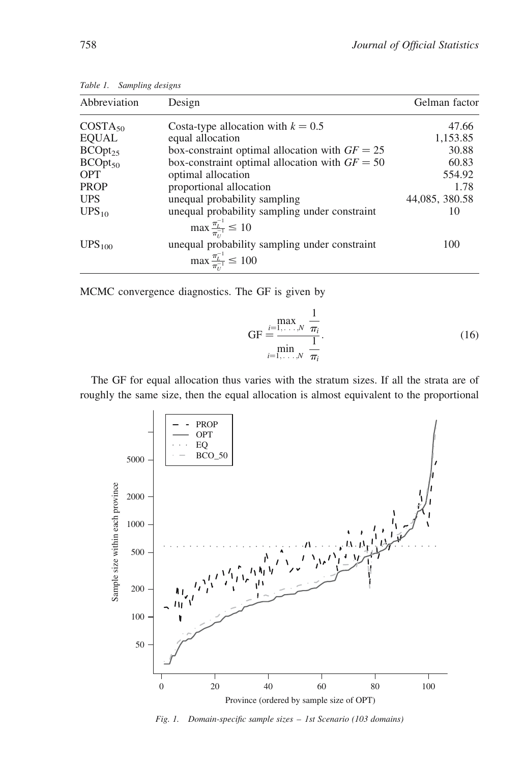| Abbreviation | Design                                                                                                | Gelman factor  |
|--------------|-------------------------------------------------------------------------------------------------------|----------------|
| $COSTA_{50}$ | Costa-type allocation with $k = 0.5$                                                                  | 47.66          |
| EQUAL        | equal allocation                                                                                      | 1,153.85       |
| $BCOpt_{25}$ | box-constraint optimal allocation with $GF = 25$                                                      | 30.88          |
| $BCOpt_{50}$ | box-constraint optimal allocation with $GF = 50$                                                      | 60.83          |
| <b>OPT</b>   | optimal allocation                                                                                    | 554.92         |
| <b>PROP</b>  | proportional allocation                                                                               | 1.78           |
| <b>UPS</b>   | unequal probability sampling                                                                          | 44,085, 380.58 |
| $UPS_{10}$   | unequal probability sampling under constraint<br>$\max \frac{\pi_L^{-1}}{\pi_{\iota i}^{-1}} \leq 10$ | 10             |
| $UPS_{100}$  | unequal probability sampling under constraint<br>$\max \frac{\pi_L^{-1}}{\pi_H^{-1}} \leq 100$        | 100            |

Table 1. Sampling designs

MCMC convergence diagnostics. The GF is given by

$$
GF = \frac{\max\limits_{i=1,\dots,N} \frac{1}{\pi_i}}{\min\limits_{i=1,\dots,N} \frac{1}{\pi_i}}.
$$
\n(16)

The GF for equal allocation thus varies with the stratum sizes. If all the strata are of roughly the same size, then the equal allocation is almost equivalent to the proportional



Fig. 1. Domain-specific sample sizes – 1st Scenario (103 domains)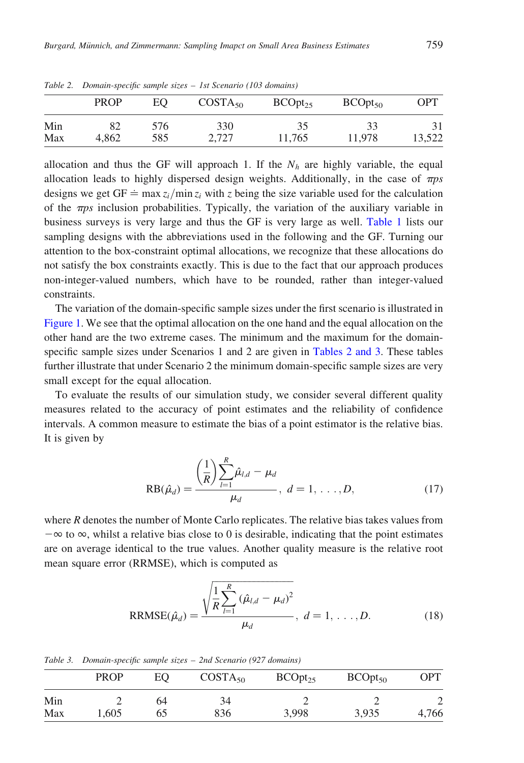|     | <b>PROP</b> | EО  | $COSTA_{50}$ | $BCOpt_{25}$ | $BCOpt_{50}$ | OPT    |
|-----|-------------|-----|--------------|--------------|--------------|--------|
| Min | 82          | 576 | 330          | 35           | 33           |        |
| Max | 4.862       | 585 | 2.727        | 11,765       | 11,978       | 13,522 |

Table 2. Domain-specific sample sizes – 1st Scenario (103 domains)

allocation and thus the GF will approach 1. If the  $N_h$  are highly variable, the equal allocation leads to highly dispersed design weights. Additionally, in the case of  $\pi ps$ designs we get GF  $\dot{=}$  max z<sub>i</sub>/min z<sub>i</sub> with z being the size variable used for the calculation of the  $\pi p$ s inclusion probabilities. Typically, the variation of the auxiliary variable in business surveys is very large and thus the GF is very large as well. Table 1 lists our sampling designs with the abbreviations used in the following and the GF. Turning our attention to the box-constraint optimal allocations, we recognize that these allocations do not satisfy the box constraints exactly. This is due to the fact that our approach produces non-integer-valued numbers, which have to be rounded, rather than integer-valued constraints.

The variation of the domain-specific sample sizes under the first scenario is illustrated in Figure 1. We see that the optimal allocation on the one hand and the equal allocation on the other hand are the two extreme cases. The minimum and the maximum for the domainspecific sample sizes under Scenarios 1 and 2 are given in Tables 2 and 3. These tables further illustrate that under Scenario 2 the minimum domain-specific sample sizes are very small except for the equal allocation.

To evaluate the results of our simulation study, we consider several different quality measures related to the accuracy of point estimates and the reliability of confidence intervals. A common measure to estimate the bias of a point estimator is the relative bias. It is given by

$$
RB(\hat{\mu}_d) = \frac{\left(\frac{1}{R}\right) \sum_{l=1}^{R} \hat{\mu}_{l,d} - \mu_d}{\mu_d}, \ d = 1, \ldots, D,
$$
 (17)

where R denotes the number of Monte Carlo replicates. The relative bias takes values from  $-\infty$  to  $\infty$ , whilst a relative bias close to 0 is desirable, indicating that the point estimates are on average identical to the true values. Another quality measure is the relative root mean square error (RRMSE), which is computed as

$$
RRMSE(\hat{\mu}_d) = \frac{\sqrt{\frac{1}{R}\sum_{l=1}^{R} (\hat{\mu}_{l,d} - \mu_d)^2}}{\mu_d}, \ d = 1, \dots, D.
$$
 (18)

Table 3. Domain-specific sample sizes – 2nd Scenario (927 domains)

|     | <b>PROP</b> | EО | $COSTA_{50}$ | $BCOpt_{25}$ | $BCOpt_{50}$ | OPT   |
|-----|-------------|----|--------------|--------------|--------------|-------|
| Min |             | 64 | 34           |              |              |       |
| Max | .605        | 65 | 836          | 3,998        | 3,935        | 4,766 |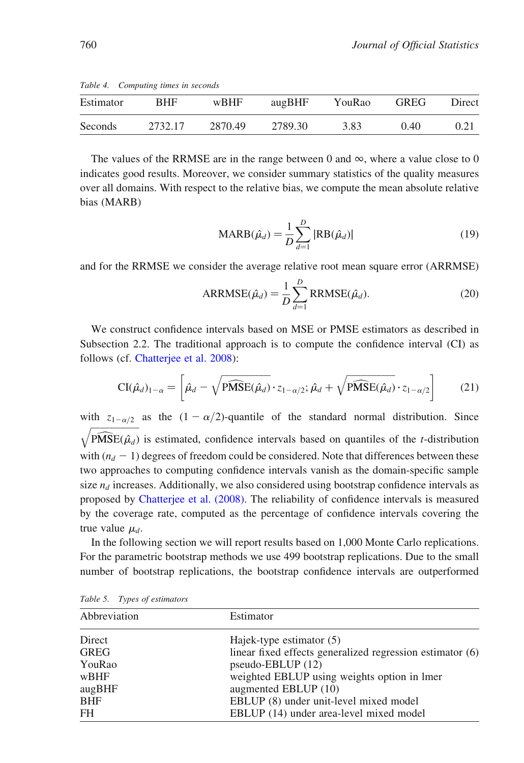| Estimator | <b>BHF</b> | wBHF    | augBHF  | YouRao | <b>GREG</b> | Direct |
|-----------|------------|---------|---------|--------|-------------|--------|
| Seconds   | 2732.17    | 2870.49 | 2789.30 | 3.83   | 0.40        | 0.21   |

Table 4. Computing times in seconds

The values of the RRMSE are in the range between 0 and  $\infty$ , where a value close to 0 indicates good results. Moreover, we consider summary statistics of the quality measures over all domains. With respect to the relative bias, we compute the mean absolute relative bias (MARB)

$$
MARB(\hat{\mu}_d) = \frac{1}{D} \sum_{d=1}^{D} |RB(\hat{\mu}_d)|
$$
\n(19)

and for the RRMSE we consider the average relative root mean square error (ARRMSE)

$$
ARRMSE(\hat{\mu}_d) = \frac{1}{D} \sum_{d=1}^{D} RRMSE(\hat{\mu}_d).
$$
 (20)

We construct confidence intervals based on MSE or PMSE estimators as described in Subsection 2.2. The traditional approach is to compute the confidence interval (CI) as follows (cf. Chatterjee et al. 2008):

$$
CI(\hat{\mu}_d)_{1-\alpha} = \left[ \hat{\mu}_d - \sqrt{P\widehat{\text{MSE}}(\hat{\mu}_d)} \cdot z_{1-\alpha/2}; \hat{\mu}_d + \sqrt{P\widehat{\text{MSE}}(\hat{\mu}_d)} \cdot z_{1-\alpha/2} \right]
$$
(21)

with  $z_{1-\alpha/2}$  as the  $(1-\alpha/2)$ -quantile of the standard normal distribution. Since  $\widetilde{\mathrm{PMSE}}(\hat{\mu}_d)$  $\overline{\phantom{a}}$ is estimated, confidence intervals based on quantiles of the t-distribution with  $(n_d - 1)$  degrees of freedom could be considered. Note that differences between these two approaches to computing confidence intervals vanish as the domain-specific sample size  $n_d$  increases. Additionally, we also considered using bootstrap confidence intervals as proposed by Chatterjee et al. (2008). The reliability of confidence intervals is measured by the coverage rate, computed as the percentage of confidence intervals covering the true value  $\mu_d$ .

In the following section we will report results based on 1,000 Monte Carlo replications. For the parametric bootstrap methods we use 499 bootstrap replications. Due to the small number of bootstrap replications, the bootstrap confidence intervals are outperformed

| Abbreviation | Estimator                                                 |
|--------------|-----------------------------------------------------------|
| Direct       | Hajek-type estimator (5)                                  |
| <b>GREG</b>  | linear fixed effects generalized regression estimator (6) |
| YouRao       | pseudo-EBLUP $(12)$                                       |
| wBHF         | weighted EBLUP using weights option in lmer               |
| augBHF       | augmented EBLUP (10)                                      |
| <b>BHF</b>   | EBLUP (8) under unit-level mixed model                    |
| FH           | EBLUP (14) under area-level mixed model                   |

Table 5. Types of estimators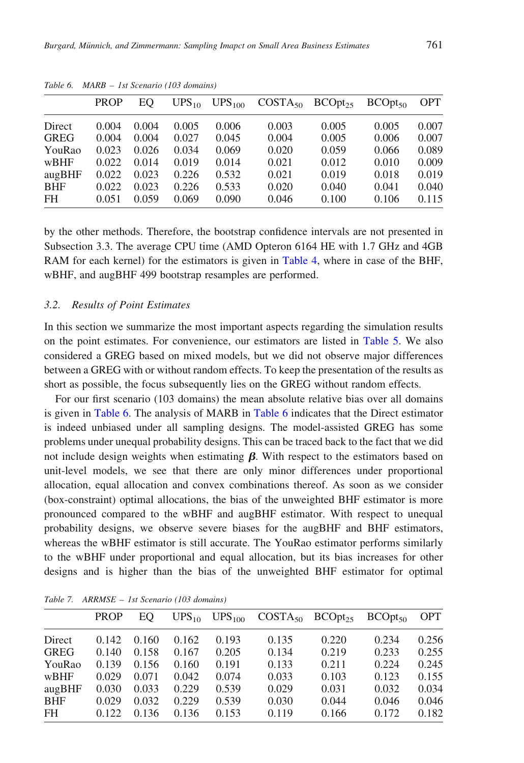|             | <b>PROP</b> | EO.   | $UPS_{10}$ | $UPS_{100}$ | $COSTA_{50}$ | $BCOpt_{25}$ | $BCOpt_{50}$ | <b>OPT</b> |
|-------------|-------------|-------|------------|-------------|--------------|--------------|--------------|------------|
| Direct      | 0.004       | 0.004 | 0.005      | 0.006       | 0.003        | 0.005        | 0.005        | 0.007      |
| <b>GREG</b> | 0.004       | 0.004 | 0.027      | 0.045       | 0.004        | 0.005        | 0.006        | 0.007      |
| YouRao      | 0.023       | 0.026 | 0.034      | 0.069       | 0.020        | 0.059        | 0.066        | 0.089      |
| wBHF        | 0.022       | 0.014 | 0.019      | 0.014       | 0.021        | 0.012        | 0.010        | 0.009      |
| augBHF      | 0.022       | 0.023 | 0.226      | 0.532       | 0.021        | 0.019        | 0.018        | 0.019      |
| <b>BHF</b>  | 0.022       | 0.023 | 0.226      | 0.533       | 0.020        | 0.040        | 0.041        | 0.040      |
| FH          | 0.051       | 0.059 | 0.069      | 0.090       | 0.046        | 0.100        | 0.106        | 0.115      |
|             |             |       |            |             |              |              |              |            |

Table 6. MARB – 1st Scenario (103 domains)

by the other methods. Therefore, the bootstrap confidence intervals are not presented in Subsection 3.3. The average CPU time (AMD Opteron 6164 HE with 1.7 GHz and 4GB RAM for each kernel) for the estimators is given in Table 4, where in case of the BHF, wBHF, and augBHF 499 bootstrap resamples are performed.

### 3.2. Results of Point Estimates

In this section we summarize the most important aspects regarding the simulation results on the point estimates. For convenience, our estimators are listed in Table 5. We also considered a GREG based on mixed models, but we did not observe major differences between a GREG with or without random effects. To keep the presentation of the results as short as possible, the focus subsequently lies on the GREG without random effects.

For our first scenario (103 domains) the mean absolute relative bias over all domains is given in Table 6. The analysis of MARB in Table 6 indicates that the Direct estimator is indeed unbiased under all sampling designs. The model-assisted GREG has some problems under unequal probability designs. This can be traced back to the fact that we did not include design weights when estimating  $\beta$ . With respect to the estimators based on unit-level models, we see that there are only minor differences under proportional allocation, equal allocation and convex combinations thereof. As soon as we consider (box-constraint) optimal allocations, the bias of the unweighted BHF estimator is more pronounced compared to the wBHF and augBHF estimator. With respect to unequal probability designs, we observe severe biases for the augBHF and BHF estimators, whereas the wBHF estimator is still accurate. The YouRao estimator performs similarly to the wBHF under proportional and equal allocation, but its bias increases for other designs and is higher than the bias of the unweighted BHF estimator for optimal

|             | <b>PROP</b> | EO.   |       | $UPS_{10}$ $UPS_{100}$ | $COSTA_{50}$ $BCOpt_{25}$ |       | $BCOpt_{50}$ | <b>OPT</b> |
|-------------|-------------|-------|-------|------------------------|---------------------------|-------|--------------|------------|
| Direct      | 0.142       | 0.160 | 0.162 | 0.193                  | 0.135                     | 0.220 | 0.234        | 0.256      |
| <b>GREG</b> | 0.140       | 0.158 | 0.167 | 0.205                  | 0.134                     | 0.219 | 0.233        | 0.255      |
| YouRao      | 0.139       | 0.156 | 0.160 | 0.191                  | 0.133                     | 0.211 | 0.224        | 0.245      |
| wBHF        | 0.029       | 0.071 | 0.042 | 0.074                  | 0.033                     | 0.103 | 0.123        | 0.155      |
| augBHF      | 0.030       | 0.033 | 0.229 | 0.539                  | 0.029                     | 0.031 | 0.032        | 0.034      |
| BHF         | 0.029       | 0.032 | 0.229 | 0.539                  | 0.030                     | 0.044 | 0.046        | 0.046      |
| FH          | 0.122       | 0.136 | 0.136 | 0.153                  | 0.119                     | 0.166 | 0.172        | 0.182      |
|             |             |       |       |                        |                           |       |              |            |

Table 7. ARRMSE – 1st Scenario (103 domains)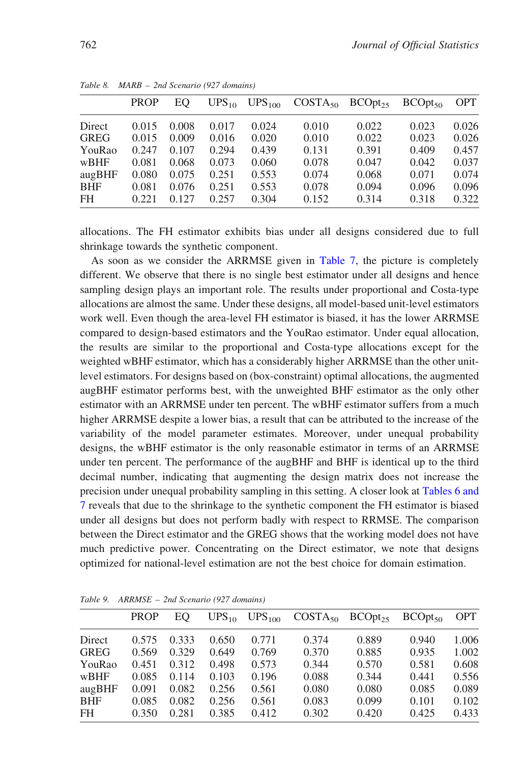|             | <b>PROP</b> | EО    | $UPS_{10}$ | UPS <sub>100</sub> | $COSTA_{50}$ | $BCOpt_{25}$ | $BCOpt_{50}$ | <b>OPT</b> |
|-------------|-------------|-------|------------|--------------------|--------------|--------------|--------------|------------|
| Direct      | 0.015       | 0.008 | 0.017      | 0.024              | 0.010        | 0.022        | 0.023        | 0.026      |
| <b>GREG</b> | 0.015       | 0.009 | 0.016      | 0.020              | 0.010        | 0.022        | 0.023        | 0.026      |
| YouRao      | 0.247       | 0.107 | 0.294      | 0.439              | 0.131        | 0.391        | 0.409        | 0.457      |
| wBHF        | 0.081       | 0.068 | 0.073      | 0.060              | 0.078        | 0.047        | 0.042        | 0.037      |
| augBHF      | 0.080       | 0.075 | 0.251      | 0.553              | 0.074        | 0.068        | 0.071        | 0.074      |
| <b>BHF</b>  | 0.081       | 0.076 | 0.251      | 0.553              | 0.078        | 0.094        | 0.096        | 0.096      |
| <b>FH</b>   | 0.221       | 0.127 | 0.257      | 0.304              | 0.152        | 0.314        | 0.318        | 0.322      |

Table 8. MARB – 2nd Scenario (927 domains)

allocations. The FH estimator exhibits bias under all designs considered due to full shrinkage towards the synthetic component.

As soon as we consider the ARRMSE given in Table 7, the picture is completely different. We observe that there is no single best estimator under all designs and hence sampling design plays an important role. The results under proportional and Costa-type allocations are almost the same. Under these designs, all model-based unit-level estimators work well. Even though the area-level FH estimator is biased, it has the lower ARRMSE compared to design-based estimators and the YouRao estimator. Under equal allocation, the results are similar to the proportional and Costa-type allocations except for the weighted wBHF estimator, which has a considerably higher ARRMSE than the other unitlevel estimators. For designs based on (box-constraint) optimal allocations, the augmented augBHF estimator performs best, with the unweighted BHF estimator as the only other estimator with an ARRMSE under ten percent. The wBHF estimator suffers from a much higher ARRMSE despite a lower bias, a result that can be attributed to the increase of the variability of the model parameter estimates. Moreover, under unequal probability designs, the wBHF estimator is the only reasonable estimator in terms of an ARRMSE under ten percent. The performance of the augBHF and BHF is identical up to the third decimal number, indicating that augmenting the design matrix does not increase the precision under unequal probability sampling in this setting. A closer look at Tables 6 and 7 reveals that due to the shrinkage to the synthetic component the FH estimator is biased under all designs but does not perform badly with respect to RRMSE. The comparison between the Direct estimator and the GREG shows that the working model does not have much predictive power. Concentrating on the Direct estimator, we note that designs optimized for national-level estimation are not the best choice for domain estimation.

|             | <b>PROP</b> | EО    | $UPS_{10}$ | $UPS_{100}$ | $COSTA_{50}$ $BCOpt_{25}$ |       | $BCOpt_{50}$ | <b>OPT</b> |
|-------------|-------------|-------|------------|-------------|---------------------------|-------|--------------|------------|
| Direct      | 0.575       | 0.333 | 0.650      | 0.771       | 0.374                     | 0.889 | 0.940        | 1.006      |
| <b>GREG</b> | 0.569       | 0.329 | 0.649      | 0.769       | 0.370                     | 0.885 | 0.935        | 1.002      |
| YouRao      | 0.451       | 0.312 | 0.498      | 0.573       | 0.344                     | 0.570 | 0.581        | 0.608      |
| wBHF        | 0.085       | 0.114 | 0.103      | 0.196       | 0.088                     | 0.344 | 0.441        | 0.556      |
| augBHF      | 0.091       | 0.082 | 0.256      | 0.561       | 0.080                     | 0.080 | 0.085        | 0.089      |
| <b>BHF</b>  | 0.085       | 0.082 | 0.256      | 0.561       | 0.083                     | 0.099 | 0.101        | 0.102      |
| FH.         | 0.350       | 0.281 | 0.385      | 0.412       | 0.302                     | 0.420 | 0.425        | 0.433      |

Table 9. ARRMSE – 2nd Scenario (927 domains)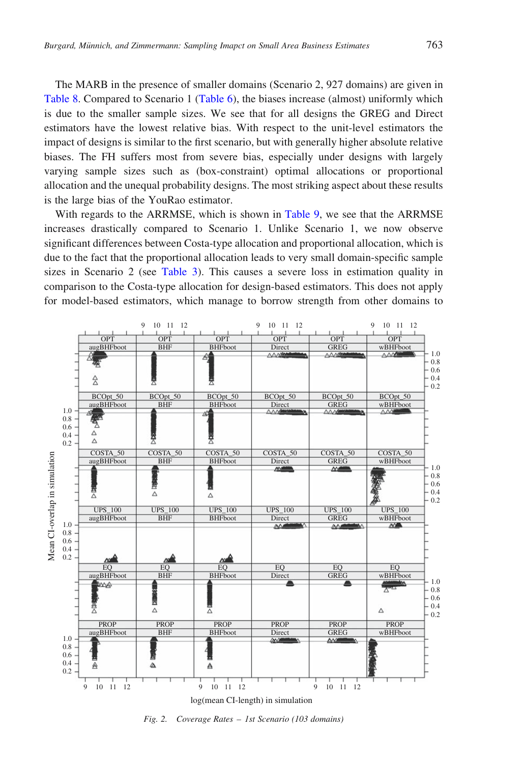The MARB in the presence of smaller domains (Scenario 2, 927 domains) are given in Table 8. Compared to Scenario 1 (Table 6), the biases increase (almost) uniformly which is due to the smaller sample sizes. We see that for all designs the GREG and Direct estimators have the lowest relative bias. With respect to the unit-level estimators the impact of designs is similar to the first scenario, but with generally higher absolute relative biases. The FH suffers most from severe bias, especially under designs with largely varying sample sizes such as (box-constraint) optimal allocations or proportional allocation and the unequal probability designs. The most striking aspect about these results is the large bias of the YouRao estimator.

With regards to the ARRMSE, which is shown in Table 9, we see that the ARRMSE increases drastically compared to Scenario 1. Unlike Scenario 1, we now observe significant differences between Costa-type allocation and proportional allocation, which is due to the fact that the proportional allocation leads to very small domain-specific sample sizes in Scenario 2 (see Table 3). This causes a severe loss in estimation quality in comparison to the Costa-type allocation for design-based estimators. This does not apply for model-based estimators, which manage to borrow strength from other domains to



Fig. 2. Coverage Rates – 1st Scenario (103 domains)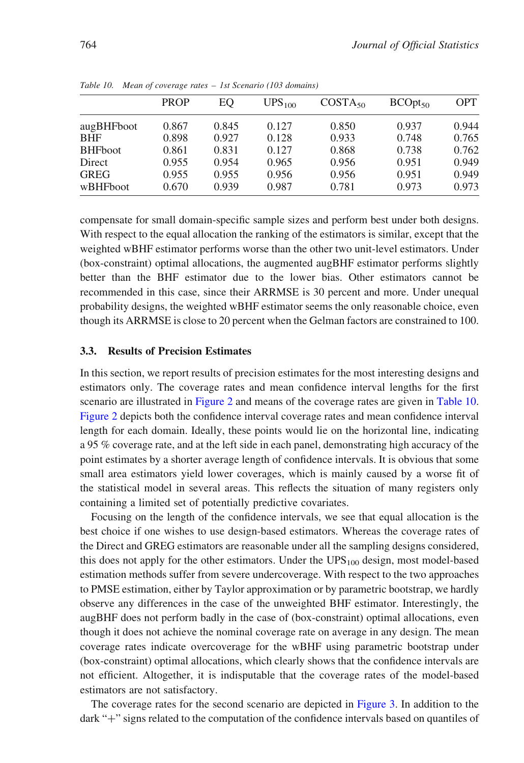| <b>OPT</b> |
|------------|
|            |
| 0.944      |
| 0.765      |
| 0.762      |
| 0.949      |
| 0.949      |
| 0.973      |
|            |

Table 10. Mean of coverage rates – 1st Scenario (103 domains)

compensate for small domain-specific sample sizes and perform best under both designs. With respect to the equal allocation the ranking of the estimators is similar, except that the weighted wBHF estimator performs worse than the other two unit-level estimators. Under (box-constraint) optimal allocations, the augmented augBHF estimator performs slightly better than the BHF estimator due to the lower bias. Other estimators cannot be recommended in this case, since their ARRMSE is 30 percent and more. Under unequal probability designs, the weighted wBHF estimator seems the only reasonable choice, even though its ARRMSE is close to 20 percent when the Gelman factors are constrained to 100.

# 3.3. Results of Precision Estimates

In this section, we report results of precision estimates for the most interesting designs and estimators only. The coverage rates and mean confidence interval lengths for the first scenario are illustrated in Figure 2 and means of the coverage rates are given in Table 10. Figure 2 depicts both the confidence interval coverage rates and mean confidence interval length for each domain. Ideally, these points would lie on the horizontal line, indicating a 95 % coverage rate, and at the left side in each panel, demonstrating high accuracy of the point estimates by a shorter average length of confidence intervals. It is obvious that some small area estimators yield lower coverages, which is mainly caused by a worse fit of the statistical model in several areas. This reflects the situation of many registers only containing a limited set of potentially predictive covariates.

Focusing on the length of the confidence intervals, we see that equal allocation is the best choice if one wishes to use design-based estimators. Whereas the coverage rates of the Direct and GREG estimators are reasonable under all the sampling designs considered, this does not apply for the other estimators. Under the  $UPS<sub>100</sub>$  design, most model-based estimation methods suffer from severe undercoverage. With respect to the two approaches to PMSE estimation, either by Taylor approximation or by parametric bootstrap, we hardly observe any differences in the case of the unweighted BHF estimator. Interestingly, the augBHF does not perform badly in the case of (box-constraint) optimal allocations, even though it does not achieve the nominal coverage rate on average in any design. The mean coverage rates indicate overcoverage for the wBHF using parametric bootstrap under (box-constraint) optimal allocations, which clearly shows that the confidence intervals are not efficient. Altogether, it is indisputable that the coverage rates of the model-based estimators are not satisfactory.

The coverage rates for the second scenario are depicted in Figure 3. In addition to the dark "+" signs related to the computation of the confidence intervals based on quantiles of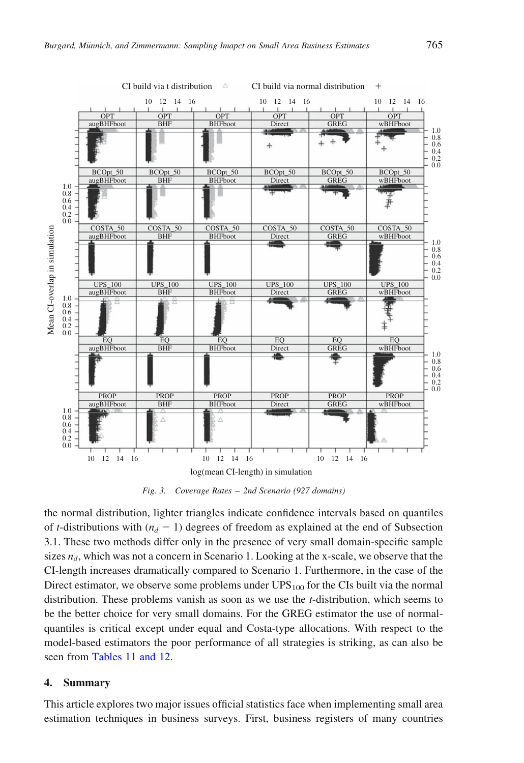

Fig. 3. Coverage Rates – 2nd Scenario (927 domains)

the normal distribution, lighter triangles indicate confidence intervals based on quantiles of t-distributions with  $(n_d - 1)$  degrees of freedom as explained at the end of Subsection 3.1. These two methods differ only in the presence of very small domain-specific sample sizes  $n_d$ , which was not a concern in Scenario 1. Looking at the x-scale, we observe that the CI-length increases dramatically compared to Scenario 1. Furthermore, in the case of the Direct estimator, we observe some problems under  $UPS<sub>100</sub>$  for the CIs built via the normal distribution. These problems vanish as soon as we use the *t*-distribution, which seems to be the better choice for very small domains. For the GREG estimator the use of normalquantiles is critical except under equal and Costa-type allocations. With respect to the model-based estimators the poor performance of all strategies is striking, as can also be seen from Tables 11 and 12.

#### 4. Summary

This article explores two major issues official statistics face when implementing small area estimation techniques in business surveys. First, business registers of many countries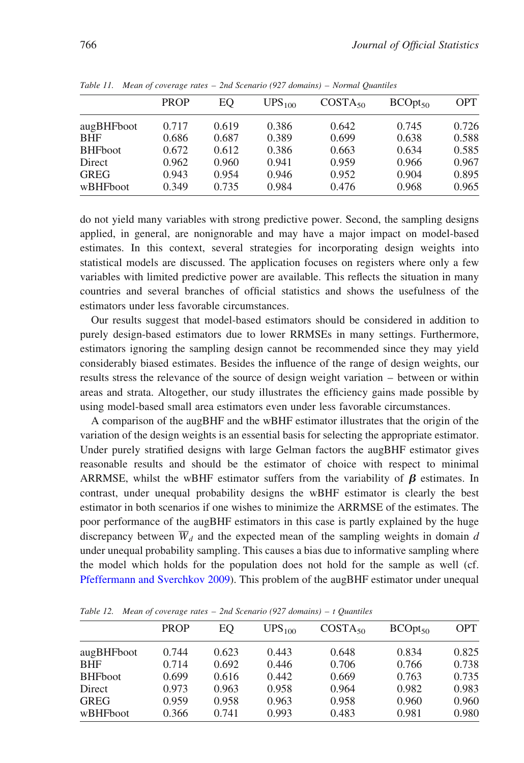|                          | <b>PROP</b> | EО    | UPS <sub>100</sub> | $COSTA_{50}$ | $BCOpt_{50}$ | OPT   |
|--------------------------|-------------|-------|--------------------|--------------|--------------|-------|
|                          | 0.717       | 0.619 | 0.386              | 0.642        | 0.745        | 0.726 |
| augBHFboot<br><b>BHF</b> | 0.686       | 0.687 | 0.389              | 0.699        | 0.638        | 0.588 |
| <b>BHFboot</b>           | 0.672       | 0.612 | 0.386              | 0.663        | 0.634        | 0.585 |
| Direct                   | 0.962       | 0.960 | 0.941              | 0.959        | 0.966        | 0.967 |
| <b>GREG</b>              | 0.943       | 0.954 | 0.946              | 0.952        | 0.904        | 0.895 |
| wBHFboot                 | 0.349       | 0.735 | 0.984              | 0.476        | 0.968        | 0.965 |

Table 11. Mean of coverage rates – 2nd Scenario (927 domains) – Normal Quantiles

do not yield many variables with strong predictive power. Second, the sampling designs applied, in general, are nonignorable and may have a major impact on model-based estimates. In this context, several strategies for incorporating design weights into statistical models are discussed. The application focuses on registers where only a few variables with limited predictive power are available. This reflects the situation in many countries and several branches of official statistics and shows the usefulness of the estimators under less favorable circumstances.

Our results suggest that model-based estimators should be considered in addition to purely design-based estimators due to lower RRMSEs in many settings. Furthermore, estimators ignoring the sampling design cannot be recommended since they may yield considerably biased estimates. Besides the influence of the range of design weights, our results stress the relevance of the source of design weight variation – between or within areas and strata. Altogether, our study illustrates the efficiency gains made possible by using model-based small area estimators even under less favorable circumstances.

A comparison of the augBHF and the wBHF estimator illustrates that the origin of the variation of the design weights is an essential basis for selecting the appropriate estimator. Under purely stratified designs with large Gelman factors the augBHF estimator gives reasonable results and should be the estimator of choice with respect to minimal ARRMSE, whilst the wBHF estimator suffers from the variability of  $\beta$  estimates. In contrast, under unequal probability designs the wBHF estimator is clearly the best estimator in both scenarios if one wishes to minimize the ARRMSE of the estimates. The poor performance of the augBHF estimators in this case is partly explained by the huge discrepancy between  $\overline{W}_d$  and the expected mean of the sampling weights in domain d under unequal probability sampling. This causes a bias due to informative sampling where the model which holds for the population does not hold for the sample as well (cf. Pfeffermann and Sverchkov 2009). This problem of the augBHF estimator under unequal

|                | <b>PROP</b> | EО    | $UPS_{100}$ | $COSTA_{50}$ | $BCOpt_{50}$ | OPT   |
|----------------|-------------|-------|-------------|--------------|--------------|-------|
| augBHFboot     | 0.744       | 0.623 | 0.443       | 0.648        | 0.834        | 0.825 |
| <b>BHF</b>     | 0.714       | 0.692 | 0.446       | 0.706        | 0.766        | 0.738 |
| <b>BHFboot</b> | 0.699       | 0.616 | 0.442       | 0.669        | 0.763        | 0.735 |
| Direct         | 0.973       | 0.963 | 0.958       | 0.964        | 0.982        | 0.983 |
| <b>GREG</b>    | 0.959       | 0.958 | 0.963       | 0.958        | 0.960        | 0.960 |
| wBHFboot       | 0.366       | 0.741 | 0.993       | 0.483        | 0.981        | 0.980 |

Table 12. Mean of coverage rates  $-$  2nd Scenario (927 domains)  $-$  t Quantiles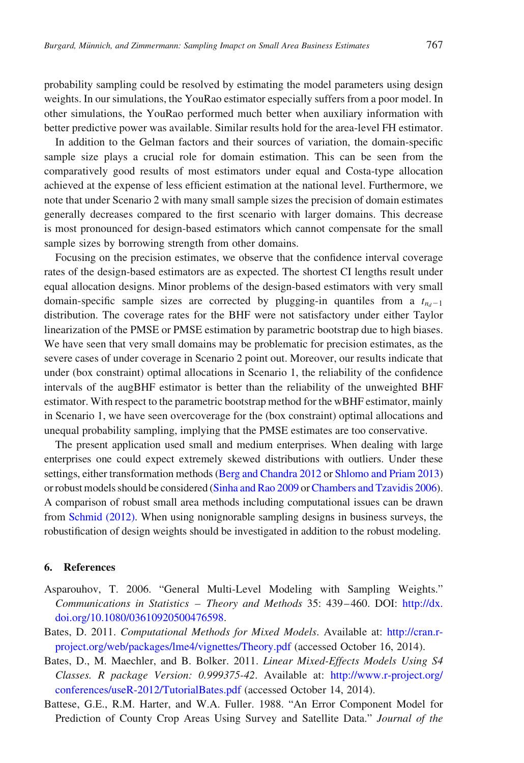probability sampling could be resolved by estimating the model parameters using design weights. In our simulations, the YouRao estimator especially suffers from a poor model. In other simulations, the YouRao performed much better when auxiliary information with better predictive power was available. Similar results hold for the area-level FH estimator.

In addition to the Gelman factors and their sources of variation, the domain-specific sample size plays a crucial role for domain estimation. This can be seen from the comparatively good results of most estimators under equal and Costa-type allocation achieved at the expense of less efficient estimation at the national level. Furthermore, we note that under Scenario 2 with many small sample sizes the precision of domain estimates generally decreases compared to the first scenario with larger domains. This decrease is most pronounced for design-based estimators which cannot compensate for the small sample sizes by borrowing strength from other domains.

Focusing on the precision estimates, we observe that the confidence interval coverage rates of the design-based estimators are as expected. The shortest CI lengths result under equal allocation designs. Minor problems of the design-based estimators with very small domain-specific sample sizes are corrected by plugging-in quantiles from a  $t_{n-1}$ distribution. The coverage rates for the BHF were not satisfactory under either Taylor linearization of the PMSE or PMSE estimation by parametric bootstrap due to high biases. We have seen that very small domains may be problematic for precision estimates, as the severe cases of under coverage in Scenario 2 point out. Moreover, our results indicate that under (box constraint) optimal allocations in Scenario 1, the reliability of the confidence intervals of the augBHF estimator is better than the reliability of the unweighted BHF estimator. With respect to the parametric bootstrap method for the wBHF estimator, mainly in Scenario 1, we have seen overcoverage for the (box constraint) optimal allocations and unequal probability sampling, implying that the PMSE estimates are too conservative.

The present application used small and medium enterprises. When dealing with large enterprises one could expect extremely skewed distributions with outliers. Under these settings, either transformation methods (Berg and Chandra 2012 or Shlomo and Priam 2013) or robust models should be considered (Sinha and Rao 2009 orChambers and Tzavidis 2006). A comparison of robust small area methods including computational issues can be drawn from Schmid (2012). When using nonignorable sampling designs in business surveys, the robustification of design weights should be investigated in addition to the robust modeling.

# 6. References

- Asparouhov, T. 2006. "General Multi-Level Modeling with Sampling Weights." Communications in Statistics – Theory and Methods 35: 439–460. DOI: [http://dx.](http://dx.doi.org/10.1080/03610920500476598) [doi.org/10.1080/03610920500476598](http://dx.doi.org/10.1080/03610920500476598).
- Bates, D. 2011. Computational Methods for Mixed Models. Available at: [http://cran.r](http://cran.r-project.org/web/packages/lme4/vignettes/Theory.pdf)[project.org/web/packages/lme4/vignettes/Theory.pdf](http://cran.r-project.org/web/packages/lme4/vignettes/Theory.pdf) (accessed October 16, 2014).
- Bates, D., M. Maechler, and B. Bolker. 2011. Linear Mixed-Effects Models Using S4 Classes. R package Version: 0.999375-42. Available at: [http://www.r-project.org/](http://www.r-project.org/conferences/useR-2012/TutorialBates.pdf) [conferences/useR-2012/TutorialBates.pdf](http://www.r-project.org/conferences/useR-2012/TutorialBates.pdf) (accessed October 14, 2014).
- Battese, G.E., R.M. Harter, and W.A. Fuller. 1988. "An Error Component Model for Prediction of County Crop Areas Using Survey and Satellite Data." Journal of the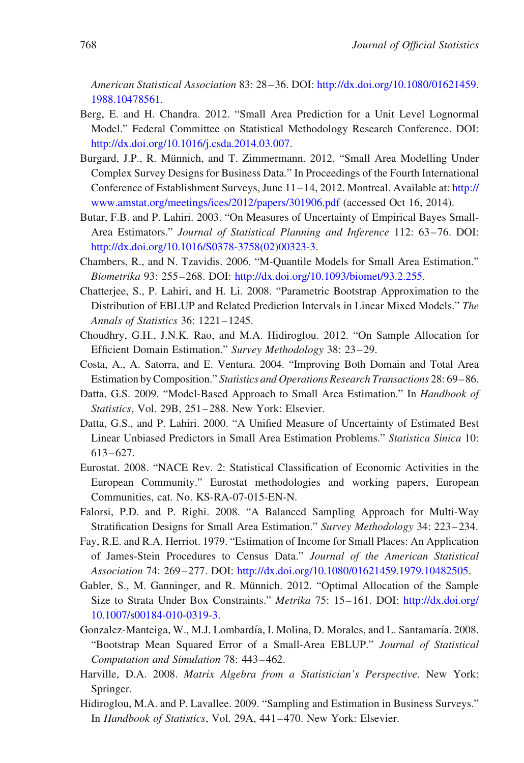American Statistical Association 83: 28–36. DOI: [http://dx.doi.org/10.1080/01621459.](http://dx.doi.org/10.1080/01621459.1988.10478561) [1988.10478561](http://dx.doi.org/10.1080/01621459.1988.10478561).

- Berg, E. and H. Chandra. 2012. "Small Area Prediction for a Unit Level Lognormal Model." Federal Committee on Statistical Methodology Research Conference. DOI: [http://dx.doi.org/10.1016/j.csda.2014.03.007.](http://dx.doi.org/10.1016/j.csda.2014.03.007)
- Burgard, J.P., R. Münnich, and T. Zimmermann. 2012. "Small Area Modelling Under Complex Survey Designs for Business Data." In Proceedings of the Fourth International Conference of Establishment Surveys, June 11–14, 2012. Montreal. Available at: [http://](http://www.amstat.org/meetings/ices/2012/papers/301906.pdf) [www.amstat.org/meetings/ices/2012/papers/301906.pdf](http://www.amstat.org/meetings/ices/2012/papers/301906.pdf) (accessed Oct 16, 2014).
- Butar, F.B. and P. Lahiri. 2003. "On Measures of Uncertainty of Empirical Bayes Small-Area Estimators." Journal of Statistical Planning and Inference 112: 63–76. DOI: [http://dx.doi.org/10.1016/S0378-3758\(02\)00323-3.](http://dx.doi.org/10.1016/S0378-3758(02)00323-3)
- Chambers, R., and N. Tzavidis. 2006. "M-Quantile Models for Small Area Estimation." Biometrika 93: 255–268. DOI: [http://dx.doi.org/10.1093/biomet/93.2.255.](http://dx.doi.org/10.1093/biomet/93.2.255)
- Chatterjee, S., P. Lahiri, and H. Li. 2008. "Parametric Bootstrap Approximation to the Distribution of EBLUP and Related Prediction Intervals in Linear Mixed Models." The Annals of Statistics 36: 1221–1245.
- Choudhry, G.H., J.N.K. Rao, and M.A. Hidiroglou. 2012. "On Sample Allocation for Efficient Domain Estimation." Survey Methodology 38: 23–29.
- Costa, A., A. Satorra, and E. Ventura. 2004. "Improving Both Domain and Total Area Estimation by Composition." Statistics and Operations Research Transactions 28: 69–86.
- Datta, G.S. 2009. "Model-Based Approach to Small Area Estimation." In Handbook of Statistics, Vol. 29B, 251–288. New York: Elsevier.
- Datta, G.S., and P. Lahiri. 2000. "A Unified Measure of Uncertainty of Estimated Best Linear Unbiased Predictors in Small Area Estimation Problems." Statistica Sinica 10: 613–627.
- Eurostat. 2008. "NACE Rev. 2: Statistical Classification of Economic Activities in the European Community." Eurostat methodologies and working papers, European Communities, cat. No. KS-RA-07-015-EN-N.
- Falorsi, P.D. and P. Righi. 2008. "A Balanced Sampling Approach for Multi-Way Stratification Designs for Small Area Estimation." Survey Methodology 34: 223–234.
- Fay, R.E. and R.A. Herriot. 1979. "Estimation of Income for Small Places: An Application of James-Stein Procedures to Census Data." Journal of the American Statistical Association 74: 269–277. DOI: <http://dx.doi.org/10.1080/01621459.1979.10482505>.
- Gabler, S., M. Ganninger, and R. Münnich. 2012. "Optimal Allocation of the Sample Size to Strata Under Box Constraints." Metrika 75: 15–161. DOI: [http://dx.doi.org/](http://dx.doi.org/10.1007/s00184-010-0319-3) [10.1007/s00184-010-0319-3.](http://dx.doi.org/10.1007/s00184-010-0319-3)
- Gonzalez-Manteiga, W., M.J. Lombardía, I. Molina, D. Morales, and L. Santamaría. 2008. "Bootstrap Mean Squared Error of a Small-Area EBLUP." Journal of Statistical Computation and Simulation 78: 443–462.
- Harville, D.A. 2008. Matrix Algebra from a Statistician's Perspective. New York: Springer.
- Hidiroglou, M.A. and P. Lavallee. 2009. "Sampling and Estimation in Business Surveys." In Handbook of Statistics, Vol. 29A, 441–470. New York: Elsevier.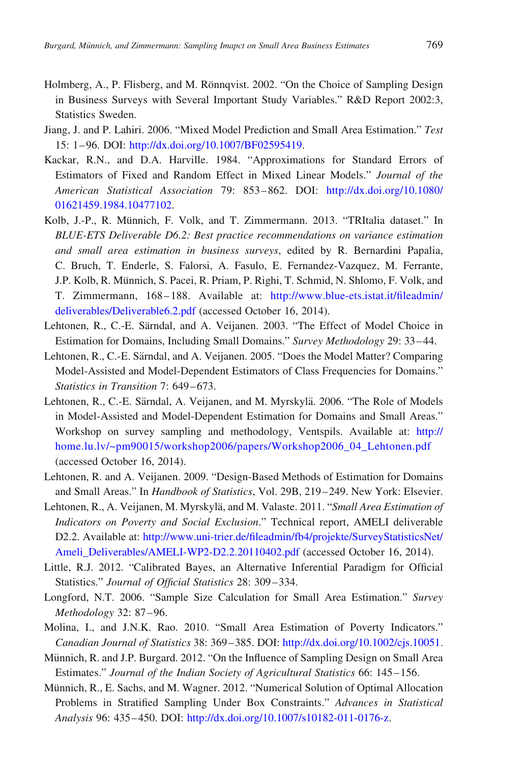- Holmberg, A., P. Flisberg, and M. Rönnqvist. 2002. "On the Choice of Sampling Design in Business Surveys with Several Important Study Variables." R&D Report 2002:3, Statistics Sweden.
- Jiang, J. and P. Lahiri. 2006. "Mixed Model Prediction and Small Area Estimation." Test 15: 1–96. DOI: [http://dx.doi.org/10.1007/BF02595419.](http://dx.doi.org/10.1007/BF02595419)
- Kackar, R.N., and D.A. Harville. 1984. "Approximations for Standard Errors of Estimators of Fixed and Random Effect in Mixed Linear Models." Journal of the American Statistical Association 79: 853–862. DOI: [http://dx.doi.org/10.1080/](http://dx.doi.org/10.1080/01621459.1984.10477102) [01621459.1984.10477102](http://dx.doi.org/10.1080/01621459.1984.10477102).
- Kolb, J.-P., R. Münnich, F. Volk, and T. Zimmermann. 2013. "TRItalia dataset." In BLUE-ETS Deliverable D6.2: Best practice recommendations on variance estimation and small area estimation in business surveys, edited by R. Bernardini Papalia, C. Bruch, T. Enderle, S. Falorsi, A. Fasulo, E. Fernandez-Vazquez, M. Ferrante, J.P. Kolb, R. Münnich, S. Pacei, R. Priam, P. Righi, T. Schmid, N. Shlomo, F. Volk, and T. Zimmermann, 168–188. Available at: [http://www.blue-ets.istat.it/fileadmin/](http://www.blue-ets.istat.it/fileadmin/deliverables/Deliverable6.2.pdf) [deliverables/Deliverable6.2.pdf](http://www.blue-ets.istat.it/fileadmin/deliverables/Deliverable6.2.pdf) (accessed October 16, 2014).
- Lehtonen, R., C.-E. Särndal, and A. Veijanen. 2003. "The Effect of Model Choice in Estimation for Domains, Including Small Domains." Survey Methodology 29: 33–44.
- Lehtonen, R., C.-E. Särndal, and A. Veijanen. 2005. "Does the Model Matter? Comparing Model-Assisted and Model-Dependent Estimators of Class Frequencies for Domains." Statistics in Transition 7: 649–673.
- Lehtonen, R., C.-E. Särndal, A. Veijanen, and M. Myrskylä. 2006. "The Role of Models in Model-Assisted and Model-Dependent Estimation for Domains and Small Areas." Workshop on survey sampling and methodology, Ventspils. Available at: [http://](http://home.lu.lv/~pm90015/workshop2006/papers/Workshop2006_04_Lehtonen.pdf) [home.lu.lv/~pm90015/workshop2006/papers/Workshop2006\\_04\\_Lehtonen.pdf](http://home.lu.lv/~pm90015/workshop2006/papers/Workshop2006_04_Lehtonen.pdf) (accessed October 16, 2014).
- Lehtonen, R. and A. Veijanen. 2009. "Design-Based Methods of Estimation for Domains and Small Areas." In Handbook of Statistics, Vol. 29B, 219–249. New York: Elsevier.
- Lehtonen, R., A. Veijanen, M. Myrskylä, and M. Valaste. 2011. "Small Area Estimation of Indicators on Poverty and Social Exclusion." Technical report, AMELI deliverable D2.2. Available at: [http://www.uni-trier.de/fileadmin/fb4/projekte/SurveyStatisticsNet/](http://www.uni-trier.de/fileadmin/fb4/projekte/SurveyStatisticsNet/Ameli_Deliverables/AMELI-WP2-D2.2.20110402.pdf) Ameli Deliverables/AMELI-WP2-D2.2.20110402.pdf (accessed October 16, 2014).
- Little, R.J. 2012. "Calibrated Bayes, an Alternative Inferential Paradigm for Official Statistics." Journal of Official Statistics 28: 309–334.
- Longford, N.T. 2006. "Sample Size Calculation for Small Area Estimation." Survey Methodology 32: 87–96.
- Molina, I., and J.N.K. Rao. 2010. "Small Area Estimation of Poverty Indicators." Canadian Journal of Statistics 38: 369–385. DOI: [http://dx.doi.org/10.1002/cjs.10051.](http://dx.doi.org/10.1002/cjs.10051)
- Münnich, R. and J.P. Burgard. 2012. "On the Influence of Sampling Design on Small Area Estimates." Journal of the Indian Society of Agricultural Statistics 66: 145–156.
- Münnich, R., E. Sachs, and M. Wagner. 2012. "Numerical Solution of Optimal Allocation Problems in Stratified Sampling Under Box Constraints." Advances in Statistical Analysis 96: 435–450. DOI: [http://dx.doi.org/10.1007/s10182-011-0176-z.](http://dx.doi.org/10.1007/s10182-011-0176-z)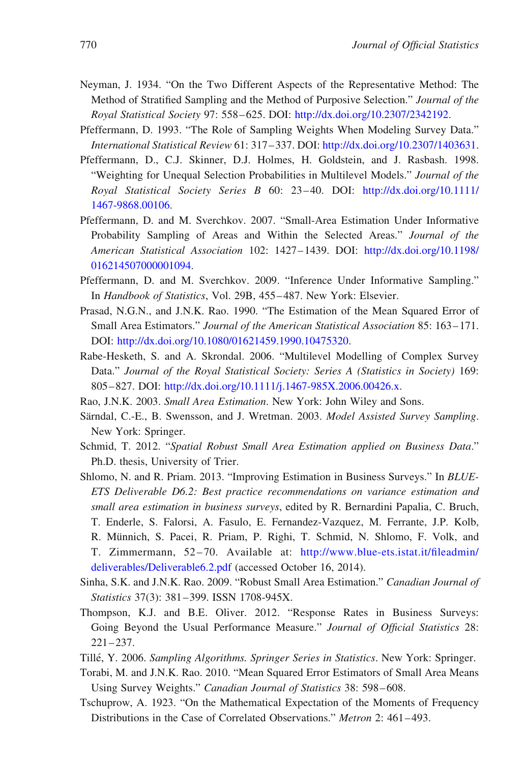- Neyman, J. 1934. "On the Two Different Aspects of the Representative Method: The Method of Stratified Sampling and the Method of Purposive Selection." Journal of the Royal Statistical Society 97: 558–625. DOI: <http://dx.doi.org/10.2307/2342192>.
- Pfeffermann, D. 1993. "The Role of Sampling Weights When Modeling Survey Data." International Statistical Review 61: 317–337. DOI: <http://dx.doi.org/10.2307/1403631>.
- Pfeffermann, D., C.J. Skinner, D.J. Holmes, H. Goldstein, and J. Rasbash. 1998. "Weighting for Unequal Selection Probabilities in Multilevel Models." Journal of the Royal Statistical Society Series B 60: 23–40. DOI: [http://dx.doi.org/10.1111/](http://dx.doi.org/10.1111/1467-9868.00106) [1467-9868.00106.](http://dx.doi.org/10.1111/1467-9868.00106)
- Pfeffermann, D. and M. Sverchkov. 2007. "Small-Area Estimation Under Informative Probability Sampling of Areas and Within the Selected Areas." Journal of the American Statistical Association 102: 1427–1439. DOI: [http://dx.doi.org/10.1198/](http://dx.doi.org/10.1198/016214507000001094) [016214507000001094.](http://dx.doi.org/10.1198/016214507000001094)
- Pfeffermann, D. and M. Sverchkov. 2009. "Inference Under Informative Sampling." In Handbook of Statistics, Vol. 29B, 455–487. New York: Elsevier.
- Prasad, N.G.N., and J.N.K. Rao. 1990. "The Estimation of the Mean Squared Error of Small Area Estimators." Journal of the American Statistical Association 85: 163–171. DOI: <http://dx.doi.org/10.1080/01621459.1990.10475320>.
- Rabe-Hesketh, S. and A. Skrondal. 2006. "Multilevel Modelling of Complex Survey Data." Journal of the Royal Statistical Society: Series A (Statistics in Society) 169: 805–827. DOI: <http://dx.doi.org/10.1111/j.1467-985X.2006.00426.x>.
- Rao, J.N.K. 2003. Small Area Estimation. New York: John Wiley and Sons.
- Särndal, C.-E., B. Swensson, and J. Wretman. 2003. Model Assisted Survey Sampling. New York: Springer.
- Schmid, T. 2012. "Spatial Robust Small Area Estimation applied on Business Data." Ph.D. thesis, University of Trier.
- Shlomo, N. and R. Priam. 2013. "Improving Estimation in Business Surveys." In BLUE-ETS Deliverable D6.2: Best practice recommendations on variance estimation and small area estimation in business surveys, edited by R. Bernardini Papalia, C. Bruch, T. Enderle, S. Falorsi, A. Fasulo, E. Fernandez-Vazquez, M. Ferrante, J.P. Kolb, R. Münnich, S. Pacei, R. Priam, P. Righi, T. Schmid, N. Shlomo, F. Volk, and T. Zimmermann, 52–70. Available at: [http://www.blue-ets.istat.it/fileadmin/](http://www.blue-ets.istat.it/fileadmin/deliverables/Deliverable6.2.pdf) [deliverables/Deliverable6.2.pdf](http://www.blue-ets.istat.it/fileadmin/deliverables/Deliverable6.2.pdf) (accessed October 16, 2014).
- Sinha, S.K. and J.N.K. Rao. 2009. "Robust Small Area Estimation." Canadian Journal of Statistics 37(3): 381–399. ISSN 1708-945X.
- Thompson, K.J. and B.E. Oliver. 2012. "Response Rates in Business Surveys: Going Beyond the Usual Performance Measure." Journal of Official Statistics 28: 221–237.
- Tillé, Y. 2006. Sampling Algorithms. Springer Series in Statistics. New York: Springer.
- Torabi, M. and J.N.K. Rao. 2010. "Mean Squared Error Estimators of Small Area Means Using Survey Weights." Canadian Journal of Statistics 38: 598–608.
- Tschuprow, A. 1923. "On the Mathematical Expectation of the Moments of Frequency Distributions in the Case of Correlated Observations." Metron 2: 461–493.